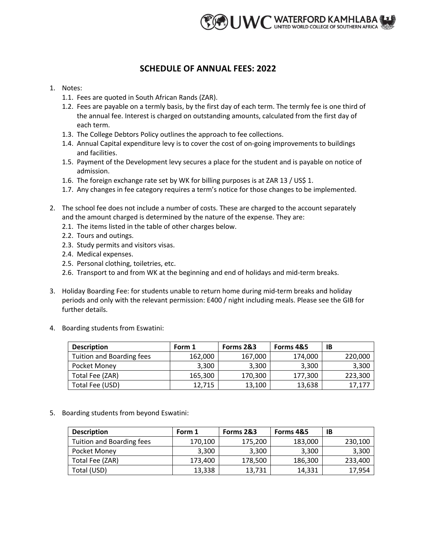

## **SCHEDULE OF ANNUAL FEES: 2022**

- 1. Notes:
	- 1.1. Fees are quoted in South African Rands (ZAR).
	- 1.2. Fees are payable on a termly basis, by the first day of each term. The termly fee is one third of the annual fee. Interest is charged on outstanding amounts, calculated from the first day of each term.
	- 1.3. The College Debtors Policy outlines the approach to fee collections.
	- 1.4. Annual Capital expenditure levy is to cover the cost of on-going improvements to buildings and facilities.
	- 1.5. Payment of the Development levy secures a place for the student and is payable on notice of admission.
	- 1.6. The foreign exchange rate set by WK for billing purposes is at ZAR 13 / US\$ 1.
	- 1.7. Any changes in fee category requires a term's notice for those changes to be implemented.
- 2. The school fee does not include a number of costs. These are charged to the account separately and the amount charged is determined by the nature of the expense. They are:
	- 2.1. The items listed in the table of other charges below.
	- 2.2. Tours and outings.
	- 2.3. Study permits and visitors visas.
	- 2.4. Medical expenses.
	- 2.5. Personal clothing, toiletries, etc.
	- 2.6. Transport to and from WK at the beginning and end of holidays and mid-term breaks.
- 3. Holiday Boarding Fee: for students unable to return home during mid-term breaks and holiday periods and only with the relevant permission: E400 / night including meals. Please see the GIB for further details.
- 4. Boarding students from Eswatini:

| <b>Description</b>        | Form 1  | Forms 2&3 | Forms 4&5 | ΙB      |
|---------------------------|---------|-----------|-----------|---------|
| Tuition and Boarding fees | 162,000 | 167,000   | 174,000   | 220,000 |
| Pocket Money              | 3,300   | 3,300     | 3,300     | 3,300   |
| Total Fee (ZAR)           | 165,300 | 170,300   | 177,300   | 223,300 |
| Total Fee (USD)           | 12.715  | 13,100    | 13,638    | 17,177  |

5. Boarding students from beyond Eswatini:

| <b>Description</b>        | Form 1  | Forms 2&3 | Forms 4&5 | ΙB      |
|---------------------------|---------|-----------|-----------|---------|
| Tuition and Boarding fees | 170,100 | 175,200   | 183,000   | 230,100 |
| Pocket Money              | 3,300   | 3,300     | 3,300     | 3,300   |
| Total Fee (ZAR)           | 173,400 | 178,500   | 186,300   | 233,400 |
| Total (USD)               | 13,338  | 13,731    | 14,331    | 17,954  |